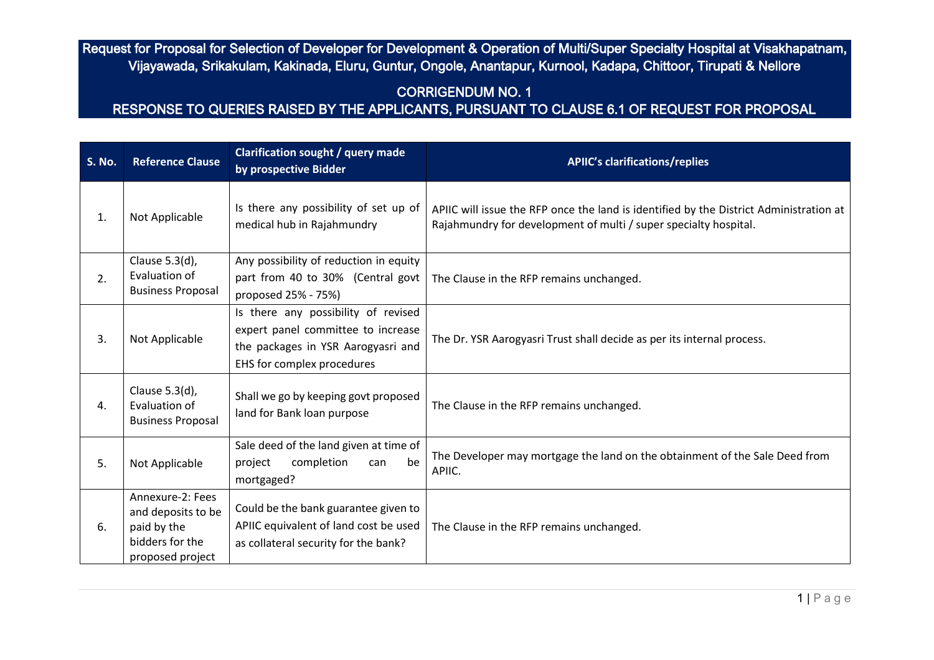## CORRIGENDUM NO. 1

| <b>S. No.</b> | <b>Reference Clause</b>                                                                      | <b>Clarification sought / query made</b><br>by prospective Bidder                                                                             | <b>APIIC's clarifications/replies</b>                                                                                                                      |
|---------------|----------------------------------------------------------------------------------------------|-----------------------------------------------------------------------------------------------------------------------------------------------|------------------------------------------------------------------------------------------------------------------------------------------------------------|
| 1.            | Not Applicable                                                                               | Is there any possibility of set up of<br>medical hub in Rajahmundry                                                                           | APIIC will issue the RFP once the land is identified by the District Administration at<br>Rajahmundry for development of multi / super specialty hospital. |
| 2.            | Clause 5.3(d),<br>Evaluation of<br><b>Business Proposal</b>                                  | Any possibility of reduction in equity<br>part from 40 to 30% (Central govt<br>proposed 25% - 75%)                                            | The Clause in the RFP remains unchanged.                                                                                                                   |
| 3.            | Not Applicable                                                                               | Is there any possibility of revised<br>expert panel committee to increase<br>the packages in YSR Aarogyasri and<br>EHS for complex procedures | The Dr. YSR Aarogyasri Trust shall decide as per its internal process.                                                                                     |
| 4.            | Clause 5.3(d),<br>Evaluation of<br><b>Business Proposal</b>                                  | Shall we go by keeping govt proposed<br>land for Bank loan purpose                                                                            | The Clause in the RFP remains unchanged.                                                                                                                   |
| 5.            | Not Applicable                                                                               | Sale deed of the land given at time of<br>completion<br>be<br>project<br>can<br>mortgaged?                                                    | The Developer may mortgage the land on the obtainment of the Sale Deed from<br>APIIC.                                                                      |
| 6.            | Annexure-2: Fees<br>and deposits to be<br>paid by the<br>bidders for the<br>proposed project | Could be the bank guarantee given to<br>APIIC equivalent of land cost be used<br>as collateral security for the bank?                         | The Clause in the RFP remains unchanged.                                                                                                                   |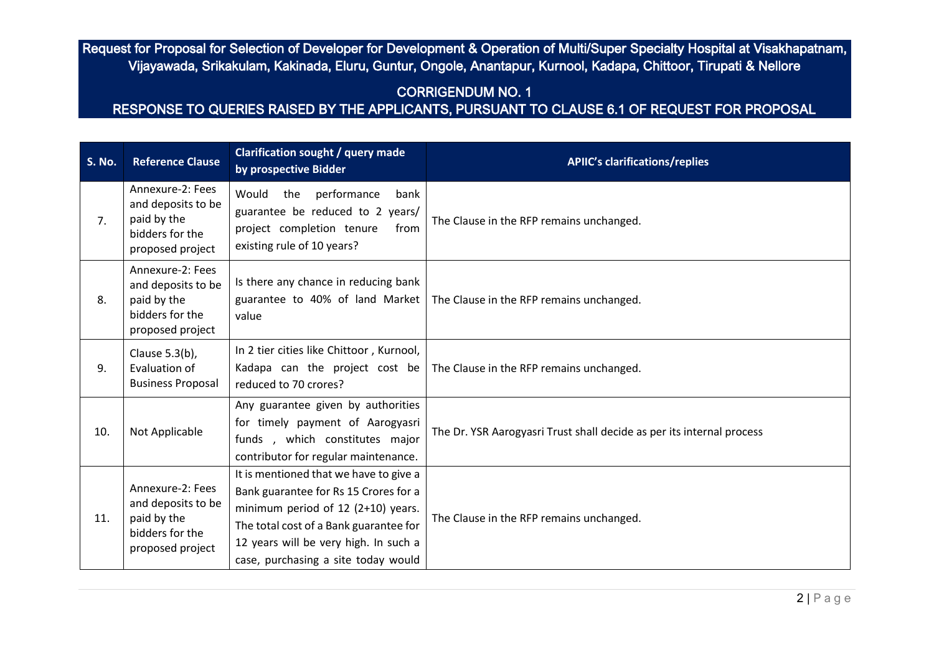# CORRIGENDUM NO. 1

| <b>S. No.</b> | <b>Reference Clause</b>                                                                      | <b>Clarification sought / query made</b><br>by prospective Bidder                                                                                                                                                                               | <b>APIIC's clarifications/replies</b>                                 |
|---------------|----------------------------------------------------------------------------------------------|-------------------------------------------------------------------------------------------------------------------------------------------------------------------------------------------------------------------------------------------------|-----------------------------------------------------------------------|
| 7.            | Annexure-2: Fees<br>and deposits to be<br>paid by the<br>bidders for the<br>proposed project | Would the performance<br>bank<br>guarantee be reduced to 2 years/<br>project completion tenure<br>from<br>existing rule of 10 years?                                                                                                            | The Clause in the RFP remains unchanged.                              |
| 8.            | Annexure-2: Fees<br>and deposits to be<br>paid by the<br>bidders for the<br>proposed project | Is there any chance in reducing bank<br>guarantee to 40% of land Market<br>value                                                                                                                                                                | The Clause in the RFP remains unchanged.                              |
| 9.            | Clause 5.3(b),<br>Evaluation of<br><b>Business Proposal</b>                                  | In 2 tier cities like Chittoor, Kurnool,<br>Kadapa can the project cost be<br>reduced to 70 crores?                                                                                                                                             | The Clause in the RFP remains unchanged.                              |
| 10.           | Not Applicable                                                                               | Any guarantee given by authorities<br>for timely payment of Aarogyasri<br>funds, which constitutes major<br>contributor for regular maintenance.                                                                                                | The Dr. YSR Aarogyasri Trust shall decide as per its internal process |
| 11.           | Annexure-2: Fees<br>and deposits to be<br>paid by the<br>bidders for the<br>proposed project | It is mentioned that we have to give a<br>Bank guarantee for Rs 15 Crores for a<br>minimum period of 12 (2+10) years.<br>The total cost of a Bank guarantee for<br>12 years will be very high. In such a<br>case, purchasing a site today would | The Clause in the RFP remains unchanged.                              |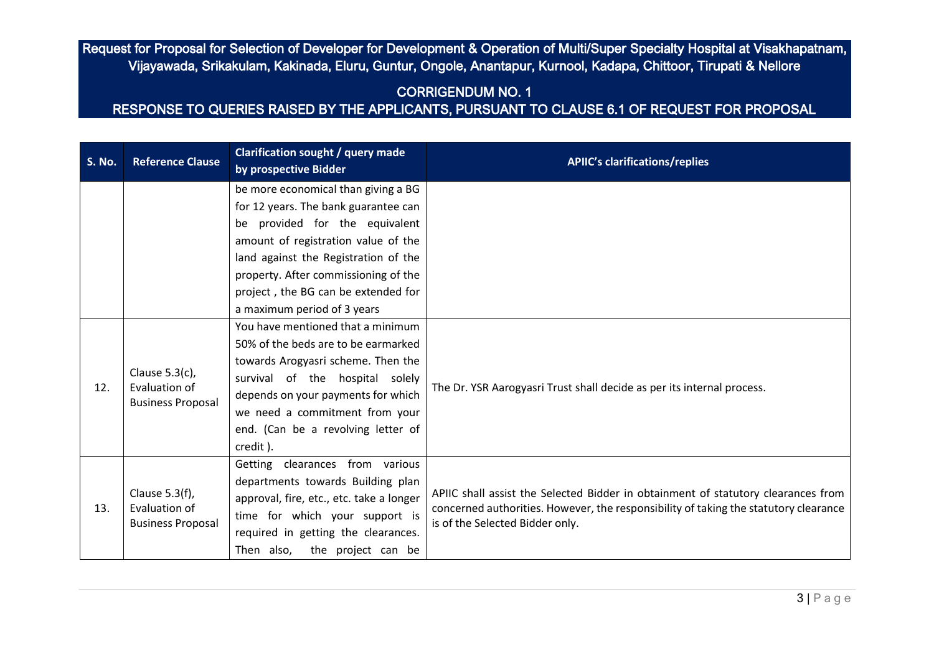# CORRIGENDUM NO. 1

| <b>S. No.</b> | <b>Reference Clause</b>                                        | <b>Clarification sought / query made</b><br>by prospective Bidder | <b>APIIC's clarifications/replies</b>                                                                                   |  |
|---------------|----------------------------------------------------------------|-------------------------------------------------------------------|-------------------------------------------------------------------------------------------------------------------------|--|
|               |                                                                | be more economical than giving a BG                               |                                                                                                                         |  |
|               |                                                                | for 12 years. The bank guarantee can                              |                                                                                                                         |  |
|               |                                                                | be provided for the equivalent                                    |                                                                                                                         |  |
|               |                                                                | amount of registration value of the                               |                                                                                                                         |  |
|               |                                                                | land against the Registration of the                              |                                                                                                                         |  |
|               |                                                                | property. After commissioning of the                              |                                                                                                                         |  |
|               |                                                                | project, the BG can be extended for                               |                                                                                                                         |  |
|               |                                                                | a maximum period of 3 years                                       |                                                                                                                         |  |
|               |                                                                | You have mentioned that a minimum                                 |                                                                                                                         |  |
|               |                                                                | 50% of the beds are to be earmarked                               |                                                                                                                         |  |
|               | Clause $5.3(c)$ ,<br>Evaluation of<br><b>Business Proposal</b> | towards Arogyasri scheme. Then the                                |                                                                                                                         |  |
|               |                                                                | survival of the hospital solely                                   |                                                                                                                         |  |
| 12.           |                                                                | depends on your payments for which                                | The Dr. YSR Aarogyasri Trust shall decide as per its internal process.                                                  |  |
|               |                                                                | we need a commitment from your                                    |                                                                                                                         |  |
|               |                                                                | end. (Can be a revolving letter of                                |                                                                                                                         |  |
|               |                                                                | credit).                                                          |                                                                                                                         |  |
|               | Clause 5.3(f),<br>Evaluation of<br><b>Business Proposal</b>    | Getting clearances from various                                   |                                                                                                                         |  |
|               |                                                                | departments towards Building plan                                 | APIIC shall assist the Selected Bidder in obtainment of statutory clearances from                                       |  |
|               |                                                                | approval, fire, etc., etc. take a longer                          |                                                                                                                         |  |
| 13.           |                                                                | time for which your support is                                    | concerned authorities. However, the responsibility of taking the statutory clearance<br>is of the Selected Bidder only. |  |
|               |                                                                | required in getting the clearances.                               |                                                                                                                         |  |
|               |                                                                | Then also, the project can be                                     |                                                                                                                         |  |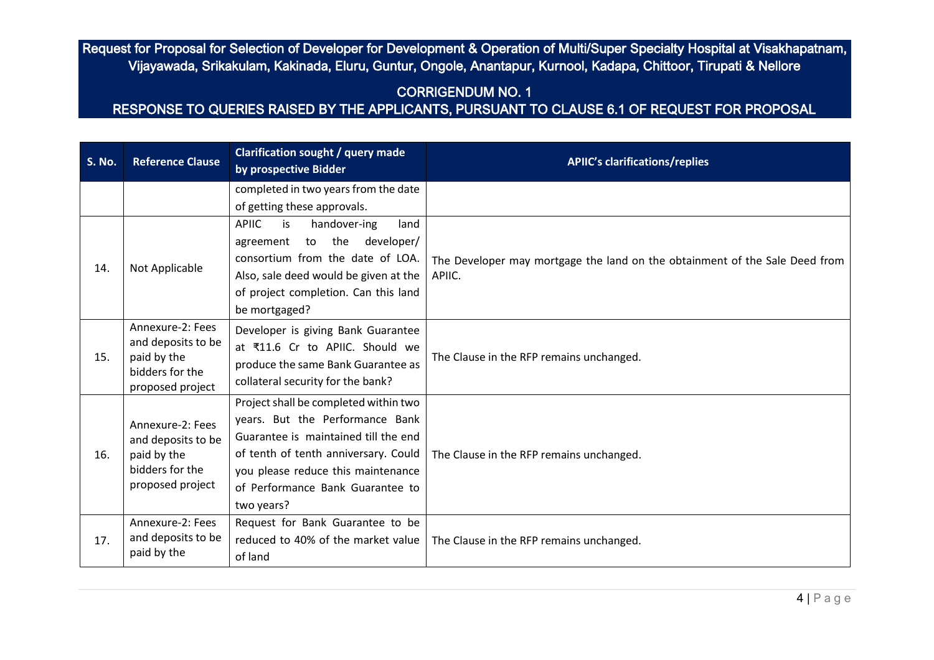# CORRIGENDUM NO. 1

| <b>S. No.</b> | <b>Reference Clause</b>                                                                      | <b>Clarification sought / query made</b><br>by prospective Bidder                                                                                                                                                                                | <b>APIIC's clarifications/replies</b>                                                 |
|---------------|----------------------------------------------------------------------------------------------|--------------------------------------------------------------------------------------------------------------------------------------------------------------------------------------------------------------------------------------------------|---------------------------------------------------------------------------------------|
|               |                                                                                              | completed in two years from the date<br>of getting these approvals.                                                                                                                                                                              |                                                                                       |
| 14.           | Not Applicable                                                                               | <b>APIIC</b><br>is<br>handover-ing<br>land<br>agreement to the developer/<br>consortium from the date of LOA.<br>Also, sale deed would be given at the<br>of project completion. Can this land<br>be mortgaged?                                  | The Developer may mortgage the land on the obtainment of the Sale Deed from<br>APIIC. |
| 15.           | Annexure-2: Fees<br>and deposits to be<br>paid by the<br>bidders for the<br>proposed project | Developer is giving Bank Guarantee<br>at ₹11.6 Cr to APIIC. Should we<br>produce the same Bank Guarantee as<br>collateral security for the bank?                                                                                                 | The Clause in the RFP remains unchanged.                                              |
| 16.           | Annexure-2: Fees<br>and deposits to be<br>paid by the<br>bidders for the<br>proposed project | Project shall be completed within two<br>years. But the Performance Bank<br>Guarantee is maintained till the end<br>of tenth of tenth anniversary. Could<br>you please reduce this maintenance<br>of Performance Bank Guarantee to<br>two years? | The Clause in the RFP remains unchanged.                                              |
| 17.           | Annexure-2: Fees<br>and deposits to be<br>paid by the                                        | Request for Bank Guarantee to be<br>reduced to 40% of the market value<br>of land                                                                                                                                                                | The Clause in the RFP remains unchanged.                                              |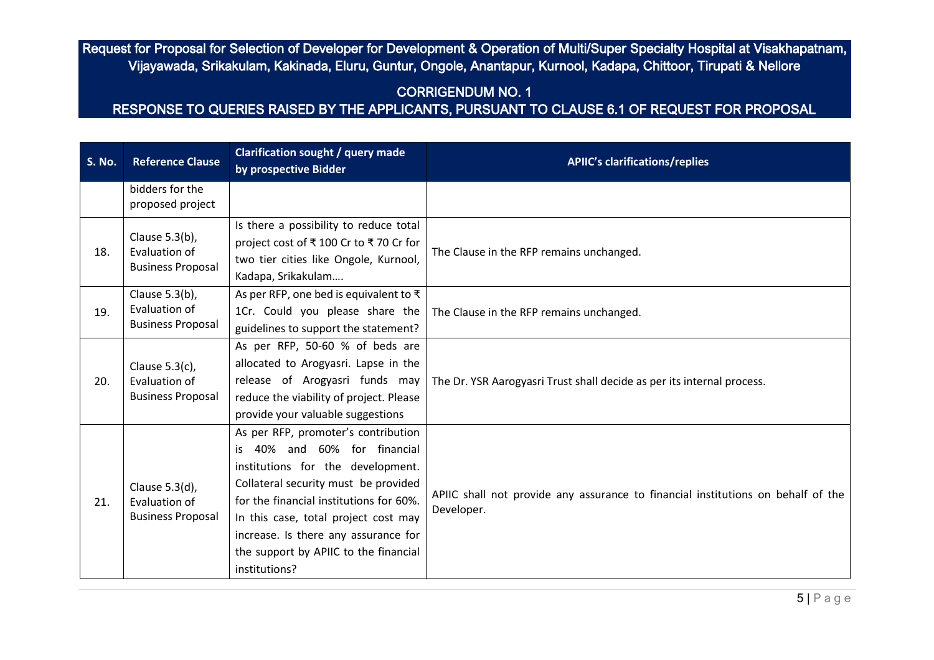# CORRIGENDUM NO. 1

| <b>S. No.</b> | <b>Reference Clause</b>                                        | <b>Clarification sought / query made</b><br>by prospective Bidder                                                                                                                                                                                                                                                                        | <b>APIIC's clarifications/replies</b>                                                          |
|---------------|----------------------------------------------------------------|------------------------------------------------------------------------------------------------------------------------------------------------------------------------------------------------------------------------------------------------------------------------------------------------------------------------------------------|------------------------------------------------------------------------------------------------|
|               | bidders for the<br>proposed project                            |                                                                                                                                                                                                                                                                                                                                          |                                                                                                |
| 18.           | Clause 5.3(b),<br>Evaluation of<br><b>Business Proposal</b>    | Is there a possibility to reduce total<br>project cost of ₹100 Cr to ₹70 Cr for<br>two tier cities like Ongole, Kurnool,<br>Kadapa, Srikakulam                                                                                                                                                                                           | The Clause in the RFP remains unchanged.                                                       |
| 19.           | Clause 5.3(b),<br>Evaluation of<br><b>Business Proposal</b>    | As per RFP, one bed is equivalent to $\bar{\tau}$<br>1Cr. Could you please share the<br>guidelines to support the statement?                                                                                                                                                                                                             | The Clause in the RFP remains unchanged.                                                       |
| 20.           | Clause $5.3(c)$ ,<br>Evaluation of<br><b>Business Proposal</b> | As per RFP, 50-60 % of beds are<br>allocated to Arogyasri. Lapse in the<br>release of Arogyasri funds may<br>reduce the viability of project. Please<br>provide your valuable suggestions                                                                                                                                                | The Dr. YSR Aarogyasri Trust shall decide as per its internal process.                         |
| 21.           | Clause 5.3(d),<br>Evaluation of<br><b>Business Proposal</b>    | As per RFP, promoter's contribution<br>40% and 60% for financial<br>is<br>institutions for the development.<br>Collateral security must be provided<br>for the financial institutions for 60%.<br>In this case, total project cost may<br>increase. Is there any assurance for<br>the support by APIIC to the financial<br>institutions? | APIIC shall not provide any assurance to financial institutions on behalf of the<br>Developer. |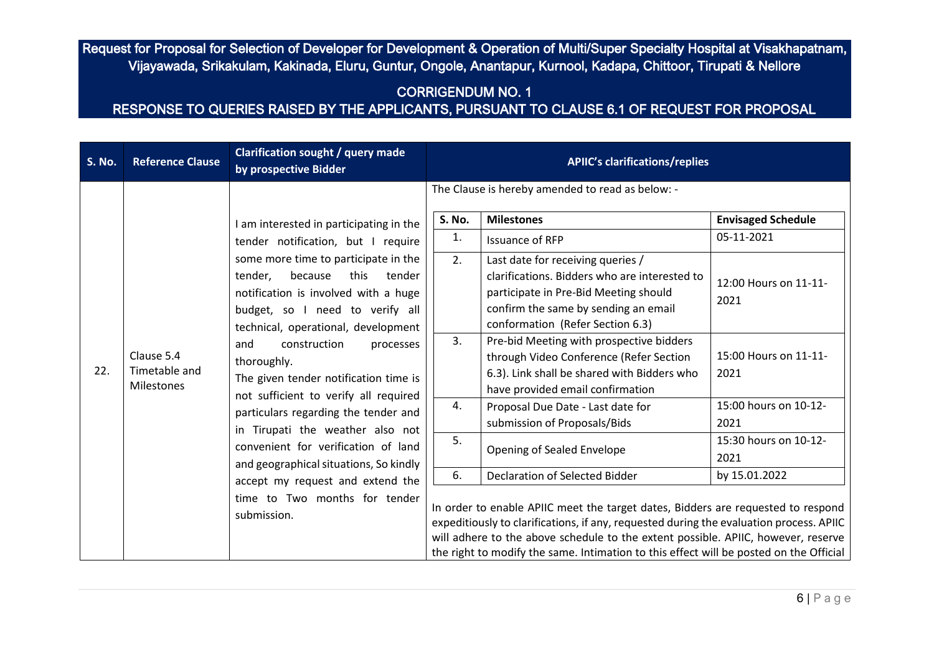### CORRIGENDUM NO. 1

| <b>S. No.</b> | <b>Reference Clause</b>                                                                                                                                               | <b>Clarification sought / query made</b><br>by prospective Bidder                                                                                                                                                   |                | <b>APIIC's clarifications/replies</b>                                                                                                                                                                                                                                                                                                                                                        |                                                                              |
|---------------|-----------------------------------------------------------------------------------------------------------------------------------------------------------------------|---------------------------------------------------------------------------------------------------------------------------------------------------------------------------------------------------------------------|----------------|----------------------------------------------------------------------------------------------------------------------------------------------------------------------------------------------------------------------------------------------------------------------------------------------------------------------------------------------------------------------------------------------|------------------------------------------------------------------------------|
|               |                                                                                                                                                                       | am interested in participating in the                                                                                                                                                                               | S. No.         | The Clause is hereby amended to read as below: -<br><b>Milestones</b>                                                                                                                                                                                                                                                                                                                        | <b>Envisaged Schedule</b>                                                    |
| 22.           | tender,<br>because<br>this<br>construction<br>and<br>Clause 5.4<br>thoroughly.<br>Timetable and<br>The given tender notification time is<br>Milestones<br>submission. | tender notification, but I require<br>some more time to participate in the<br>tender<br>notification is involved with a huge<br>budget, so I need to verify all<br>technical, operational, development<br>processes | 1.<br>2.<br>3. | <b>Issuance of RFP</b><br>Last date for receiving queries /<br>clarifications. Bidders who are interested to<br>participate in Pre-Bid Meeting should<br>confirm the same by sending an email<br>conformation (Refer Section 6.3)<br>Pre-bid Meeting with prospective bidders<br>through Video Conference (Refer Section<br>6.3). Link shall be shared with Bidders who                      | 05-11-2021<br>12:00 Hours on 11-11-<br>2021<br>15:00 Hours on 11-11-<br>2021 |
|               |                                                                                                                                                                       | not sufficient to verify all required<br>particulars regarding the tender and<br>in Tirupati the weather also not<br>convenient for verification of land                                                            | 4.<br>5.       | have provided email confirmation<br>Proposal Due Date - Last date for<br>submission of Proposals/Bids<br>Opening of Sealed Envelope                                                                                                                                                                                                                                                          | 15:00 hours on 10-12-<br>2021<br>15:30 hours on 10-12-                       |
|               |                                                                                                                                                                       | and geographical situations, So kindly<br>accept my request and extend the<br>time to Two months for tender                                                                                                         | 6.             | Declaration of Selected Bidder<br>In order to enable APIIC meet the target dates, Bidders are requested to respond<br>expeditiously to clarifications, if any, requested during the evaluation process. APIIC<br>will adhere to the above schedule to the extent possible. APIIC, however, reserve<br>the right to modify the same. Intimation to this effect will be posted on the Official | 2021<br>by 15.01.2022                                                        |